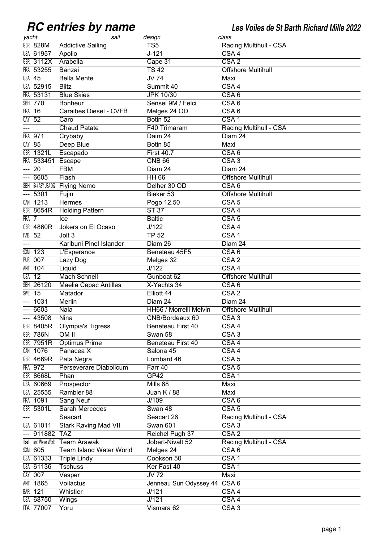## **RC** entries by name

**RC entries by name Les Voiles de St Barth Richard Mille 2022**

| yacht      |                            | sail                         | design                       | class                     |
|------------|----------------------------|------------------------------|------------------------------|---------------------------|
|            | <b>GBR 828M</b>            | <b>Addictive Sailing</b>     | TS <sub>5</sub>              | Racing Multihull - CSA    |
|            | <b>USA 61957</b>           | Apollo                       | $J - 121$                    | CSA <sub>4</sub>          |
|            | <b>GBR 3112X</b>           | Arabella                     | Cape 31                      | CSA2                      |
|            | FRA 53255                  | Banzai                       | $\overline{TS42}$            | <b>Offshore Multihull</b> |
|            | <b>USA 45</b>              | <b>Bella Mente</b>           | $JV$ 74                      | Maxi                      |
|            | <b>USA 52915</b>           | <b>Blitz</b>                 | Summit 40                    | CSA <sub>4</sub>          |
|            | FRA 53131                  | <b>Blue Skies</b>            | <b>JPK 10/30</b>             | CSA6                      |
|            | <b>SBH 770</b>             | <b>Bonheur</b>               | Sensei 9M / Felci            | CSA6                      |
| <b>FRA</b> | $\overline{16}$            | Caraibes Diesel - CVFB       | Melges 24 OD                 | CSA6                      |
| CAY        | $\overline{52}$            | Caro                         | Botin 52                     | CSA <sub>1</sub>          |
|            |                            | <b>Chaud Patate</b>          | F40 Trimaram                 | Racing Multihull - CSA    |
| FRA        | 971                        | Crybaby                      | Daim 24                      | Diam 24                   |
|            | $CAY$ 85                   | Deep Blue                    | Botin 85                     | Maxi                      |
|            | <b>GBR 1321L</b>           | Escapado                     | <b>First 40.7</b>            | CSA6                      |
|            | FRA 533451                 | Escape                       | <b>CNB 66</b>                | CSA3                      |
| ---        | $\overline{20}$            | <b>FBM</b>                   | Diam 24                      | Diam 24                   |
| ---        | 6605                       | Flash                        | <b>HH 66</b>                 | <b>Offshore Multihull</b> |
|            |                            | SBH 54/ASYUSA052 Flying Nemo | Delher 30 OD                 | CSA6                      |
| ---        | 5301                       | Fujin                        | Bieker 53                    | <b>Offshore Multihull</b> |
|            | CAN 1213                   | Hermes                       | Pogo 12.50                   | CSA <sub>5</sub>          |
|            | <b>GBR 8654R</b>           | <b>Holding Pattern</b>       | <b>ST 37</b>                 | $\overline{CSA4}$         |
| FRA 7      |                            | Ice                          | <b>Baltic</b>                | CSA <sub>5</sub>          |
|            | <b>GBR 4860R</b>           | Jokers on El Ocaso           | J/122                        | CSA <sub>4</sub>          |
| IVB        | 52                         | Jolt <sub>3</sub>            | <b>TP 52</b>                 | CSA <sub>1</sub>          |
|            |                            |                              |                              |                           |
|            |                            | Karibuni Pinel Islander      | Diam 26                      | Diam 24                   |
| SXM        | 123                        | L'Esperance                  | Beneteau 45F5                | CSA6                      |
| PUR        | 007                        | Lazy Dog                     | Melges 32                    | CSA2                      |
| ANT        | 104                        | Liquid                       | $\overline{J/122}$           | $\overline{CSA4}$         |
|            | $\overline{USA}$ 12        | <b>Mach Schnell</b>          | Gunboat 62                   | <b>Offshore Multihull</b> |
| SBH        | 26120                      | <b>Maelia Cepac Antilles</b> | X-Yachts 34                  | CSA6                      |
| SWE        | $\overline{15}$            | Matador                      | Elliott 44                   | $\overline{CSA2}$         |
|            | 1031                       | Merlin                       | Diam 24                      | Diam 24                   |
|            | 6603                       | Nala                         | HH66 / Morrelli Melvin       | <b>Offshore Multihull</b> |
|            | $-43508$                   | Nina                         | CNB/Bordeaux 60              | CSA3                      |
|            | GBR 8405R                  | <b>Olympia's Tigress</b>     | Beneteau First 40            | CSA4                      |
|            | <b>GBR 786N</b>            | OM II                        | Swan 58                      | CSA3                      |
|            | <b>GBR 7951R</b>           | <b>Optimus Prime</b>         | Beneteau First 40            | CSA4                      |
|            | CAN 1076                   | Panacea X                    | Salona 45                    | CSA4                      |
|            | <b>GBR 4669R</b>           | Pata Negra                   | Lombard 46                   | CSA <sub>5</sub>          |
|            | FRA 972                    | Perseverare Diabolicum       | Farr 40                      | $\overline{CSA}$ 5        |
|            | <b>GBR 8668L</b>           | Phan                         | GP42                         | CSA1                      |
|            | <b>USA 60669</b>           | Prospector                   | Mills 68                     | Maxi                      |
|            | <b>USA 25555</b>           | Rambler 88                   | Juan K / 88                  | Maxi                      |
|            | FRA 1091                   | <b>Sang Neuf</b>             | J/109                        | CSA6                      |
|            | GBR 5301L                  | <b>Sarah Mercedes</b>        | Swan 48                      | CSA <sub>5</sub>          |
| ---        |                            | Seacart                      | Seacart 26                   | Racing Multihull - CSA    |
|            | <b>USA 61011</b>           | <b>Stark Raving Mad VII</b>  | <b>Swan 601</b>              | CSA3                      |
|            | 911882 TAZ                 |                              | Reichel Pugh 37              | $\overline{CSA2}$         |
|            | <b>IsI</b> and Water World | <b>Team Arawak</b>           | Jobert-Nivalt 52             | Racing Multihull - CSA    |
|            | <b>SXM 605</b>             | Team Island Water World      | Melges 24                    | CSA6                      |
|            | <b>USA 61333</b>           | <b>Triple Lindy</b>          | Cookson 50                   | CSA1                      |
|            | <b>USA 61136</b>           | <b>Tschuss</b>               | Ker Fast 40                  | CSA <sub>1</sub>          |
|            | CAY 007                    | Vesper                       | $\overline{JV72}$            | Maxi                      |
| ANT        | 1865                       | Voilactus                    | Jenneau Sun Odyssey 44 CSA 6 |                           |
|            | <b>BAR 121</b>             | Whistler                     | J/121                        | CSA4                      |
|            | <b>USA 68750</b>           | Wings                        | J/121                        | CSA4                      |
|            | <b>ITA 77007</b>           | Yoru                         | Vismara 62                   | CSA <sub>3</sub>          |
|            |                            |                              |                              |                           |